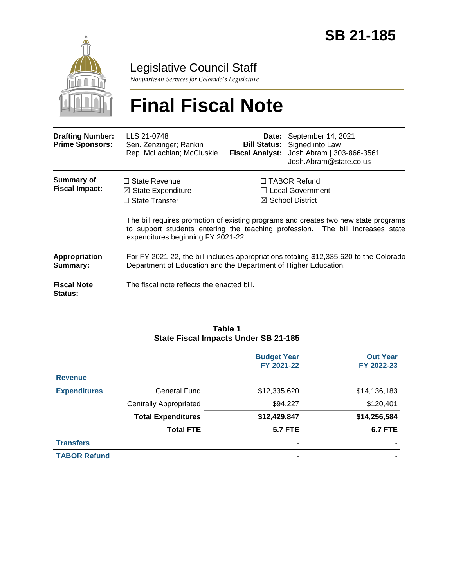

Legislative Council Staff

*Nonpartisan Services for Colorado's Legislature*

# **Final Fiscal Note**

| <b>Drafting Number:</b><br><b>Prime Sponsors:</b> | LLS 21-0748<br>Sen. Zenzinger; Rankin<br>Rep. McLachlan; McCluskie                                                                                                                              |                                                                               | <b>Date:</b> September 14, 2021<br><b>Bill Status:</b> Signed into Law<br>Fiscal Analyst: Josh Abram   303-866-3561<br>Josh.Abram@state.co.us |  |
|---------------------------------------------------|-------------------------------------------------------------------------------------------------------------------------------------------------------------------------------------------------|-------------------------------------------------------------------------------|-----------------------------------------------------------------------------------------------------------------------------------------------|--|
| Summary of<br><b>Fiscal Impact:</b>               | $\Box$ State Revenue<br>$\boxtimes$ State Expenditure<br>$\Box$ State Transfer                                                                                                                  | $\Box$ TABOR Refund<br>$\Box$ Local Government<br>$\boxtimes$ School District |                                                                                                                                               |  |
|                                                   | The bill requires promotion of existing programs and creates two new state programs<br>to support students entering the teaching profession. The bill increases state                           |                                                                               |                                                                                                                                               |  |
| Appropriation<br>Summary:                         | expenditures beginning FY 2021-22.<br>For FY 2021-22, the bill includes appropriations totaling \$12,335,620 to the Colorado<br>Department of Education and the Department of Higher Education. |                                                                               |                                                                                                                                               |  |
| <b>Fiscal Note</b><br><b>Status:</b>              | The fiscal note reflects the enacted bill.                                                                                                                                                      |                                                                               |                                                                                                                                               |  |

#### **Table 1 State Fiscal Impacts Under SB 21-185**

|                     |                               | <b>Budget Year</b><br>FY 2021-22 | <b>Out Year</b><br>FY 2022-23 |
|---------------------|-------------------------------|----------------------------------|-------------------------------|
| <b>Revenue</b>      |                               | ۰                                |                               |
| <b>Expenditures</b> | <b>General Fund</b>           | \$12,335,620                     | \$14,136,183                  |
|                     | <b>Centrally Appropriated</b> | \$94,227                         | \$120,401                     |
|                     | <b>Total Expenditures</b>     | \$12,429,847                     | \$14,256,584                  |
|                     | <b>Total FTE</b>              | <b>5.7 FTE</b>                   | <b>6.7 FTE</b>                |
| <b>Transfers</b>    |                               | $\overline{\phantom{0}}$         |                               |
| <b>TABOR Refund</b> |                               | -                                |                               |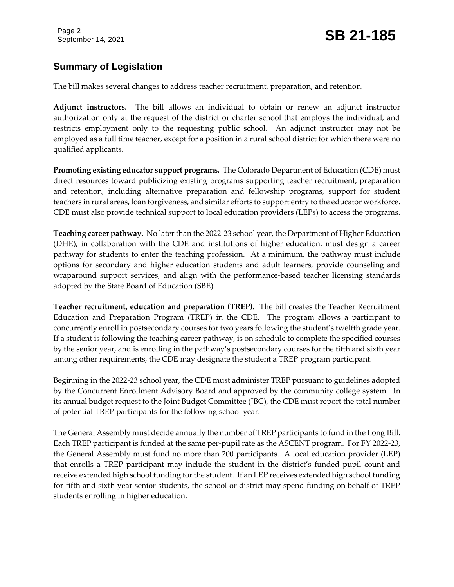#### **Summary of Legislation**

The bill makes several changes to address teacher recruitment, preparation, and retention.

**Adjunct instructors.** The bill allows an individual to obtain or renew an adjunct instructor authorization only at the request of the district or charter school that employs the individual, and restricts employment only to the requesting public school. An adjunct instructor may not be employed as a full time teacher, except for a position in a rural school district for which there were no qualified applicants.

**Promoting existing educator support programs.** The Colorado Department of Education (CDE) must direct resources toward publicizing existing programs supporting teacher recruitment, preparation and retention, including alternative preparation and fellowship programs, support for student teachers in rural areas, loan forgiveness, and similar efforts to support entry to the educator workforce. CDE must also provide technical support to local education providers (LEPs) to access the programs.

**Teaching career pathway.** No later than the 2022-23 school year, the Department of Higher Education (DHE), in collaboration with the CDE and institutions of higher education, must design a career pathway for students to enter the teaching profession. At a minimum, the pathway must include options for secondary and higher education students and adult learners, provide counseling and wraparound support services, and align with the performance-based teacher licensing standards adopted by the State Board of Education (SBE).

**Teacher recruitment, education and preparation (TREP).** The bill creates the Teacher Recruitment Education and Preparation Program (TREP) in the CDE. The program allows a participant to concurrently enroll in postsecondary courses for two years following the student's twelfth grade year. If a student is following the teaching career pathway, is on schedule to complete the specified courses by the senior year, and is enrolling in the pathway's postsecondary courses for the fifth and sixth year among other requirements, the CDE may designate the student a TREP program participant.

Beginning in the 2022-23 school year, the CDE must administer TREP pursuant to guidelines adopted by the Concurrent Enrollment Advisory Board and approved by the community college system. In its annual budget request to the Joint Budget Committee (JBC), the CDE must report the total number of potential TREP participants for the following school year.

The General Assembly must decide annually the number of TREP participants to fund in the Long Bill. Each TREP participant is funded at the same per-pupil rate as the ASCENT program. For FY 2022-23, the General Assembly must fund no more than 200 participants. A local education provider (LEP) that enrolls a TREP participant may include the student in the district's funded pupil count and receive extended high school funding for the student. If an LEP receives extended high school funding for fifth and sixth year senior students, the school or district may spend funding on behalf of TREP students enrolling in higher education.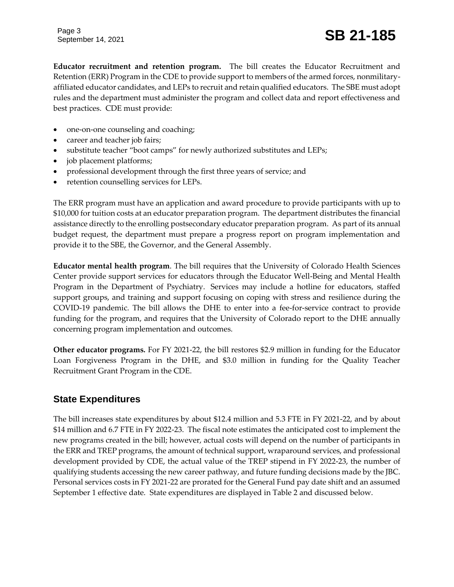**Educator recruitment and retention program.** The bill creates the Educator Recruitment and Retention (ERR) Program in the CDE to provide support to members of the armed forces, nonmilitaryaffiliated educator candidates, and LEPs to recruit and retain qualified educators. The SBE must adopt rules and the department must administer the program and collect data and report effectiveness and best practices. CDE must provide:

- one-on-one counseling and coaching;
- career and teacher job fairs;
- substitute teacher "boot camps" for newly authorized substitutes and LEPs;
- job placement platforms;
- professional development through the first three years of service; and
- retention counselling services for LEPs.

The ERR program must have an application and award procedure to provide participants with up to \$10,000 for tuition costs at an educator preparation program. The department distributes the financial assistance directly to the enrolling postsecondary educator preparation program. As part of its annual budget request, the department must prepare a progress report on program implementation and provide it to the SBE, the Governor, and the General Assembly.

**Educator mental health program**. The bill requires that the University of Colorado Health Sciences Center provide support services for educators through the Educator Well-Being and Mental Health Program in the Department of Psychiatry. Services may include a hotline for educators, staffed support groups, and training and support focusing on coping with stress and resilience during the COVID-19 pandemic. The bill allows the DHE to enter into a fee-for-service contract to provide funding for the program, and requires that the University of Colorado report to the DHE annually concerning program implementation and outcomes.

**Other educator programs.** For FY 2021-22, the bill restores \$2.9 million in funding for the Educator Loan Forgiveness Program in the DHE, and \$3.0 million in funding for the Quality Teacher Recruitment Grant Program in the CDE.

#### **State Expenditures**

The bill increases state expenditures by about \$12.4 million and 5.3 FTE in FY 2021-22, and by about \$14 million and 6.7 FTE in FY 2022-23. The fiscal note estimates the anticipated cost to implement the new programs created in the bill; however, actual costs will depend on the number of participants in the ERR and TREP programs, the amount of technical support, wraparound services, and professional development provided by CDE, the actual value of the TREP stipend in FY 2022-23, the number of qualifying students accessing the new career pathway, and future funding decisions made by the JBC. Personal services costs in FY 2021-22 are prorated for the General Fund pay date shift and an assumed September 1 effective date. State expenditures are displayed in Table 2 and discussed below.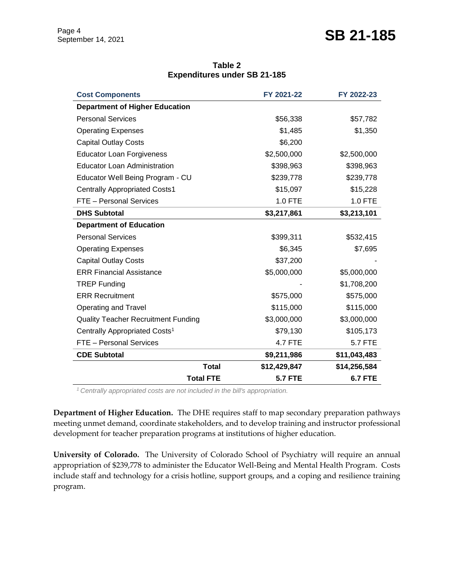| Table 2                             |  |  |  |  |  |
|-------------------------------------|--|--|--|--|--|
| <b>Expenditures under SB 21-185</b> |  |  |  |  |  |

| <b>Cost Components</b>                     | FY 2021-22     | FY 2022-23     |
|--------------------------------------------|----------------|----------------|
| <b>Department of Higher Education</b>      |                |                |
| <b>Personal Services</b>                   | \$56,338       | \$57,782       |
| <b>Operating Expenses</b>                  | \$1,485        | \$1,350        |
| <b>Capital Outlay Costs</b>                | \$6,200        |                |
| <b>Educator Loan Forgiveness</b>           | \$2,500,000    | \$2,500,000    |
| <b>Educator Loan Administration</b>        | \$398,963      | \$398,963      |
| Educator Well Being Program - CU           | \$239,778      | \$239,778      |
| <b>Centrally Appropriated Costs1</b>       | \$15,097       | \$15,228       |
| FTE - Personal Services                    | 1.0 FTE        | 1.0 FTE        |
| <b>DHS Subtotal</b>                        | \$3,217,861    | \$3,213,101    |
| <b>Department of Education</b>             |                |                |
| <b>Personal Services</b>                   | \$399,311      | \$532,415      |
| <b>Operating Expenses</b>                  | \$6,345        | \$7,695        |
| <b>Capital Outlay Costs</b>                | \$37,200       |                |
| <b>ERR Financial Assistance</b>            | \$5,000,000    | \$5,000,000    |
| <b>TREP Funding</b>                        |                | \$1,708,200    |
| <b>ERR Recruitment</b>                     | \$575,000      | \$575,000      |
| Operating and Travel                       | \$115,000      | \$115,000      |
| <b>Quality Teacher Recruitment Funding</b> | \$3,000,000    | \$3,000,000    |
| Centrally Appropriated Costs <sup>1</sup>  | \$79,130       | \$105,173      |
| FTE - Personal Services                    | <b>4.7 FTE</b> | <b>5.7 FTE</b> |
| <b>CDE Subtotal</b>                        | \$9,211,986    | \$11,043,483   |
| <b>Total</b>                               | \$12,429,847   | \$14,256,584   |
| <b>Total FTE</b>                           | <b>5.7 FTE</b> | <b>6.7 FTE</b> |

*<sup>1</sup>Centrally appropriated costs are not included in the bill's appropriation.*

**Department of Higher Education.** The DHE requires staff to map secondary preparation pathways meeting unmet demand, coordinate stakeholders, and to develop training and instructor professional development for teacher preparation programs at institutions of higher education.

**University of Colorado.** The University of Colorado School of Psychiatry will require an annual appropriation of \$239,778 to administer the Educator Well-Being and Mental Health Program. Costs include staff and technology for a crisis hotline, support groups, and a coping and resilience training program.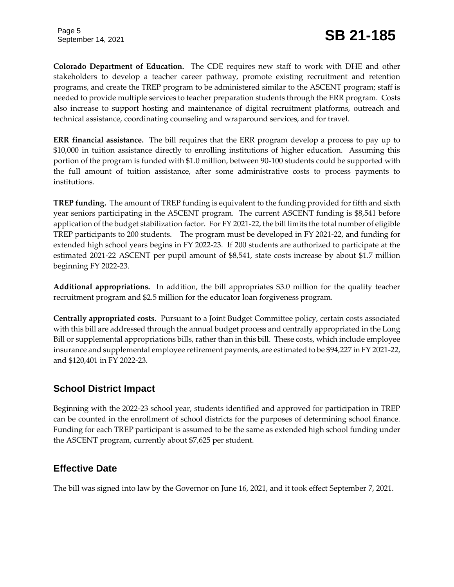**Colorado Department of Education.** The CDE requires new staff to work with DHE and other stakeholders to develop a teacher career pathway, promote existing recruitment and retention programs, and create the TREP program to be administered similar to the ASCENT program; staff is needed to provide multiple services to teacher preparation students through the ERR program. Costs also increase to support hosting and maintenance of digital recruitment platforms, outreach and technical assistance, coordinating counseling and wraparound services, and for travel.

**ERR financial assistance.** The bill requires that the ERR program develop a process to pay up to \$10,000 in tuition assistance directly to enrolling institutions of higher education. Assuming this portion of the program is funded with \$1.0 million, between 90-100 students could be supported with the full amount of tuition assistance, after some administrative costs to process payments to institutions.

**TREP funding.** The amount of TREP funding is equivalent to the funding provided for fifth and sixth year seniors participating in the ASCENT program. The current ASCENT funding is \$8,541 before application of the budget stabilization factor. For FY 2021-22, the bill limits the total number of eligible TREP participants to 200 students. The program must be developed in FY 2021-22, and funding for extended high school years begins in FY 2022-23. If 200 students are authorized to participate at the estimated 2021-22 ASCENT per pupil amount of \$8,541, state costs increase by about \$1.7 million beginning FY 2022-23.

**Additional appropriations.** In addition, the bill appropriates \$3.0 million for the quality teacher recruitment program and \$2.5 million for the educator loan forgiveness program.

**Centrally appropriated costs.** Pursuant to a Joint Budget Committee policy, certain costs associated with this bill are addressed through the annual budget process and centrally appropriated in the Long Bill or supplemental appropriations bills, rather than in this bill. These costs, which include employee insurance and supplemental employee retirement payments, are estimated to be \$94,227 in FY 2021-22, and \$120,401 in FY 2022-23.

#### **School District Impact**

Beginning with the 2022-23 school year, students identified and approved for participation in TREP can be counted in the enrollment of school districts for the purposes of determining school finance. Funding for each TREP participant is assumed to be the same as extended high school funding under the ASCENT program, currently about \$7,625 per student.

#### **Effective Date**

The bill was signed into law by the Governor on June 16, 2021, and it took effect September 7, 2021.